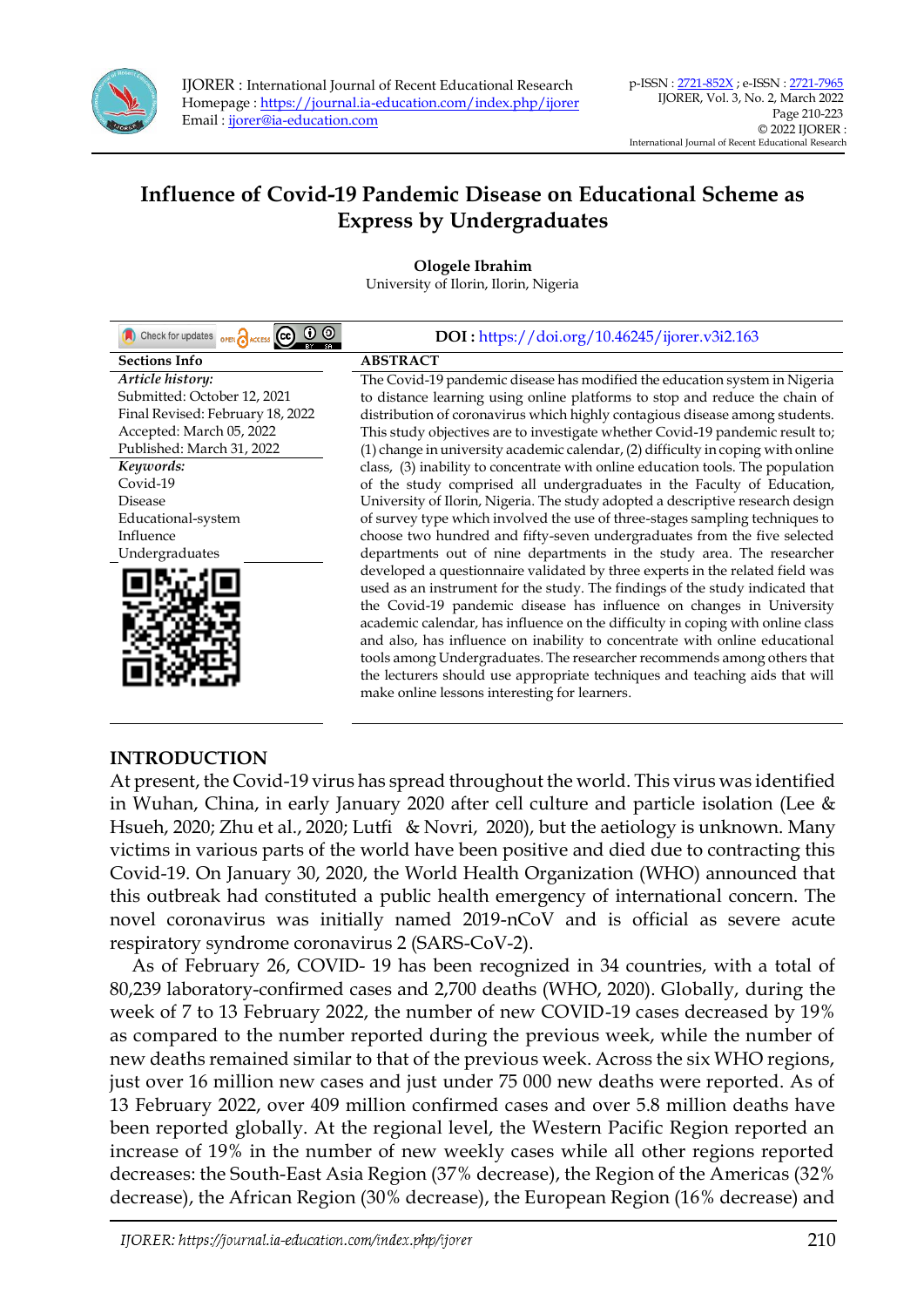

# **Influence of Covid-19 Pandemic Disease on Educational Scheme as Express by Undergraduates**

**Ologele Ibrahim** University of Ilorin, Ilorin, Nigeria

| $\odot$ $\odot$<br>Check for updates <b>OPEN</b> ACCESS CC | DOI: https://doi.org/10.46245/ijorer.v3i2.163                                    |
|------------------------------------------------------------|----------------------------------------------------------------------------------|
| <b>Sections Info</b>                                       | <b>ABSTRACT</b>                                                                  |
| Article history:                                           | The Covid-19 pandemic disease has modified the education system in Nigeria       |
| Submitted: October 12, 2021                                | to distance learning using online platforms to stop and reduce the chain of      |
| Final Revised: February 18, 2022                           | distribution of coronavirus which highly contagious disease among students.      |
| Accepted: March 05, 2022                                   | This study objectives are to investigate whether Covid-19 pandemic result to;    |
| Published: March 31, 2022                                  | (1) change in university academic calendar, (2) difficulty in coping with online |
| Keywords:                                                  | class, (3) inability to concentrate with online education tools. The population  |
| Covid-19                                                   | of the study comprised all undergraduates in the Faculty of Education,           |
| <b>Disease</b>                                             | University of Ilorin, Nigeria. The study adopted a descriptive research design   |
| Educational-system                                         | of survey type which involved the use of three-stages sampling techniques to     |
| Influence                                                  | choose two hundred and fifty-seven undergraduates from the five selected         |
| Undergraduates                                             | departments out of nine departments in the study area. The researcher            |
|                                                            | developed a questionnaire validated by three experts in the related field was    |
|                                                            | used as an instrument for the study. The findings of the study indicated that    |
|                                                            | the Covid-19 pandemic disease has influence on changes in University             |
|                                                            | academic calendar, has influence on the difficulty in coping with online class   |
|                                                            | and also, has influence on inability to concentrate with online educational      |
|                                                            | tools among Undergraduates. The researcher recommends among others that          |
|                                                            | the lecturers should use appropriate techniques and teaching aids that will      |
|                                                            | make online lessons interesting for learners.                                    |

#### **INTRODUCTION**

At present, the Covid-19 virus has spread throughout the world. This virus was identified in Wuhan, China, in early January 2020 after cell culture and particle isolation (Lee & Hsueh, 2020; Zhu et al., 2020; Lutfi & Novri, 2020), but the aetiology is unknown. Many victims in various parts of the world have been positive and died due to contracting this Covid-19. On January 30, 2020, the World Health Organization (WHO) announced that this outbreak had constituted a public health emergency of international concern. The novel coronavirus was initially named 2019-nCoV and is official as severe acute respiratory syndrome coronavirus 2 (SARS-CoV-2).

As of February 26, COVID- 19 has been recognized in 34 countries, with a total of 80,239 laboratory-confirmed cases and 2,700 deaths (WHO, 2020). Globally, during the week of 7 to 13 February 2022, the number of new COVID-19 cases decreased by 19% as compared to the number reported during the previous week, while the number of new deaths remained similar to that of the previous week. Across the six WHO regions, just over 16 million new cases and just under 75 000 new deaths were reported. As of 13 February 2022, over 409 million confirmed cases and over 5.8 million deaths have been reported globally. At the regional level, the Western Pacific Region reported an increase of 19% in the number of new weekly cases while all other regions reported decreases: the South-East Asia Region (37% decrease), the Region of the Americas (32% decrease), the African Region (30% decrease), the European Region (16% decrease) and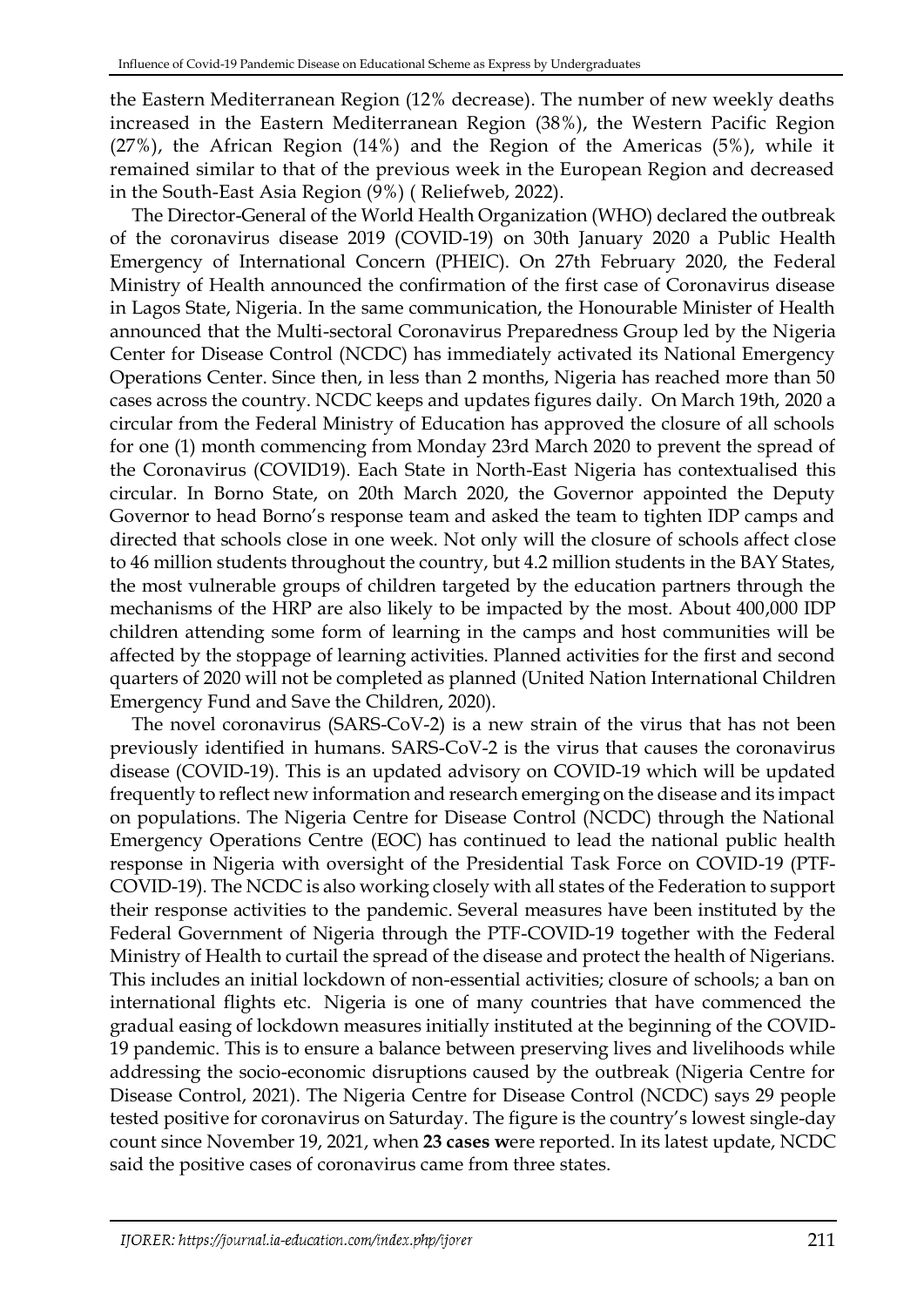the Eastern Mediterranean Region (12% decrease). The number of new weekly deaths increased in the Eastern Mediterranean Region (38%), the Western Pacific Region (27%), the African Region (14%) and the Region of the Americas (5%), while it remained similar to that of the previous week in the European Region and decreased in the South-East Asia Region (9%) ( Reliefweb, 2022).

The Director-General of the World Health Organization (WHO) declared the outbreak of the coronavirus disease 2019 (COVID-19) on 30th January 2020 a Public Health Emergency of International Concern (PHEIC). On 27th February 2020, the Federal Ministry of Health announced the confirmation of the first case of Coronavirus disease in Lagos State, Nigeria. In the same communication, the Honourable Minister of Health announced that the Multi-sectoral Coronavirus Preparedness Group led by the Nigeria Center for Disease Control (NCDC) has immediately activated its National Emergency Operations Center. Since then, in less than 2 months, Nigeria has reached more than 50 cases across the country. NCDC keeps and updates figures daily. On March 19th, 2020 a circular from the Federal Ministry of Education has approved the closure of all schools for one (1) month commencing from Monday 23rd March 2020 to prevent the spread of the Coronavirus (COVID19). Each State in North-East Nigeria has contextualised this circular. In Borno State, on 20th March 2020, the Governor appointed the Deputy Governor to head Borno's response team and asked the team to tighten IDP camps and directed that schools close in one week. Not only will the closure of schools affect close to 46 million students throughout the country, but 4.2 million students in the BAY States, the most vulnerable groups of children targeted by the education partners through the mechanisms of the HRP are also likely to be impacted by the most. About 400,000 IDP children attending some form of learning in the camps and host communities will be affected by the stoppage of learning activities. Planned activities for the first and second quarters of 2020 will not be completed as planned (United Nation International Children Emergency Fund and Save the Children, 2020).

The novel coronavirus (SARS-CoV-2) is a new strain of the virus that has not been previously identified in humans. SARS-CoV-2 is the virus that causes the coronavirus disease (COVID-19). This is an updated advisory on COVID-19 which will be updated frequently to reflect new information and research emerging on the disease and its impact on populations. The Nigeria Centre for Disease Control (NCDC) through the National Emergency Operations Centre (EOC) has continued to lead the national public health response in Nigeria with oversight of the Presidential Task Force on COVID-19 (PTF-COVID-19). The NCDC is also working closely with all states of the Federation to support their response activities to the pandemic. Several measures have been instituted by the Federal Government of Nigeria through the PTF-COVID-19 together with the Federal Ministry of Health to curtail the spread of the disease and protect the health of Nigerians. This includes an initial lockdown of non-essential activities; closure of schools; a ban on international flights etc. Nigeria is one of many countries that have commenced the gradual easing of lockdown measures initially instituted at the beginning of the COVID-19 pandemic. This is to ensure a balance between preserving lives and livelihoods while addressing the socio-economic disruptions caused by the outbreak (Nigeria Centre for Disease Control, 2021). The Nigeria Centre for Disease Control (NCDC) says 29 people tested positive for coronavirus on Saturday. The figure is the country's lowest single-day count since November 19, 2021, when **23 [cases](https://www.thecable.ng/daily-covid-tracker-infections-ebb-as-nigeria-logs-23-cases-in-six-states/amp) w**ere [reported.](https://www.thecable.ng/daily-covid-tracker-infections-ebb-as-nigeria-logs-23-cases-in-six-states/amp) In its latest update, NCDC said the positive cases of coronavirus came from three states.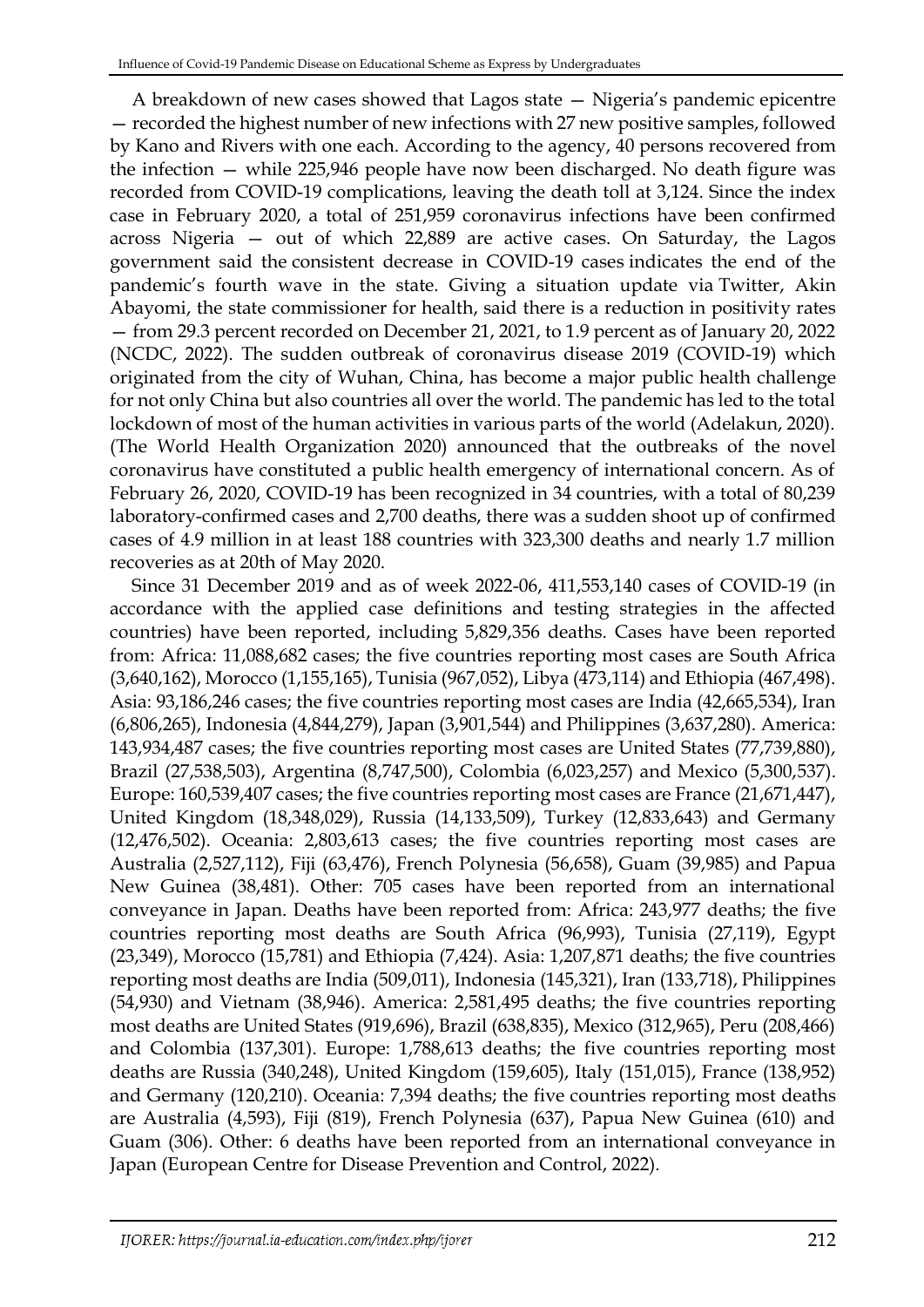A breakdown of new cases showed that Lagos state — Nigeria's pandemic epicentre — recorded the highest number of new infections with 27 new positive samples, followed by Kano and Rivers with one each. According to the agency, 40 persons recovered from the infection — while 225,946 people have now been discharged. No death figure was recorded from COVID-19 complications, leaving the death toll at 3,124. Since the index case in February 2020, a total of 251,959 coronavirus infections have been confirmed across Nigeria — out of which 22,889 are active cases. On Saturday, the Lagos government said the [consistent decrease in COVID-19 cases](https://www.thecable.ng/abayomi-decrease-in-covid-19-cases-marks-end-of-fourth-wave-in-lagos) indicates the end of the pandemic's fourth wave in the state. Giving a situation update via [Twitter,](https://twitter.com/ProfAkinAbayomi/status/1484852209502281734?s=20) Akin Abayomi, the state commissioner for health, said there is a reduction in positivity rates — from 29.3 percent recorded on December 21, 2021, to 1.9 percent as of January 20, 2022 (NCDC, 2022). The sudden outbreak of coronavirus disease 2019 (COVID-19) which originated from the city of Wuhan, China, has become a major public health challenge for not only China but also countries all over the world. The pandemic has led to the total lockdown of most of the human activities in various parts of the world (Adelakun, 2020). (The World Health Organization 2020) announced that the outbreaks of the novel coronavirus have constituted a public health emergency of international concern. As of February 26, 2020, COVID-19 has been recognized in 34 countries, with a total of 80,239 laboratory-confirmed cases and 2,700 deaths, there was a sudden shoot up of confirmed cases of 4.9 million in at least 188 countries with 323,300 deaths and nearly 1.7 million recoveries as at 20th of May 2020.

Since 31 December 2019 and as of week 2022-06, 411,553,140 cases of COVID-19 (in accordance with the applied case definitions and testing strategies in the affected countries) have been reported, including 5,829,356 deaths. Cases have been reported from: Africa: 11,088,682 cases; the five countries reporting most cases are South Africa (3,640,162), Morocco (1,155,165), Tunisia (967,052), Libya (473,114) and Ethiopia (467,498). Asia: 93,186,246 cases; the five countries reporting most cases are India (42,665,534), Iran (6,806,265), Indonesia (4,844,279), Japan (3,901,544) and Philippines (3,637,280). America: 143,934,487 cases; the five countries reporting most cases are United States (77,739,880), Brazil (27,538,503), Argentina (8,747,500), Colombia (6,023,257) and Mexico (5,300,537). Europe: 160,539,407 cases; the five countries reporting most cases are France (21,671,447), United Kingdom (18,348,029), Russia (14,133,509), Turkey (12,833,643) and Germany (12,476,502). Oceania: 2,803,613 cases; the five countries reporting most cases are Australia (2,527,112), Fiji (63,476), French Polynesia (56,658), Guam (39,985) and Papua New Guinea (38,481). Other: 705 cases have been reported from an international conveyance in Japan. Deaths have been reported from: Africa: 243,977 deaths; the five countries reporting most deaths are South Africa (96,993), Tunisia (27,119), Egypt (23,349), Morocco (15,781) and Ethiopia (7,424). Asia: 1,207,871 deaths; the five countries reporting most deaths are India (509,011), Indonesia (145,321), Iran (133,718), Philippines (54,930) and Vietnam (38,946). America: 2,581,495 deaths; the five countries reporting most deaths are United States (919,696), Brazil (638,835), Mexico (312,965), Peru (208,466) and Colombia (137,301). Europe: 1,788,613 deaths; the five countries reporting most deaths are Russia (340,248), United Kingdom (159,605), Italy (151,015), France (138,952) and Germany (120,210). Oceania: 7,394 deaths; the five countries reporting most deaths are Australia (4,593), Fiji (819), French Polynesia (637), Papua New Guinea (610) and Guam (306). Other: 6 deaths have been reported from an international conveyance in Japan (European Centre for Disease Prevention and Control, 2022).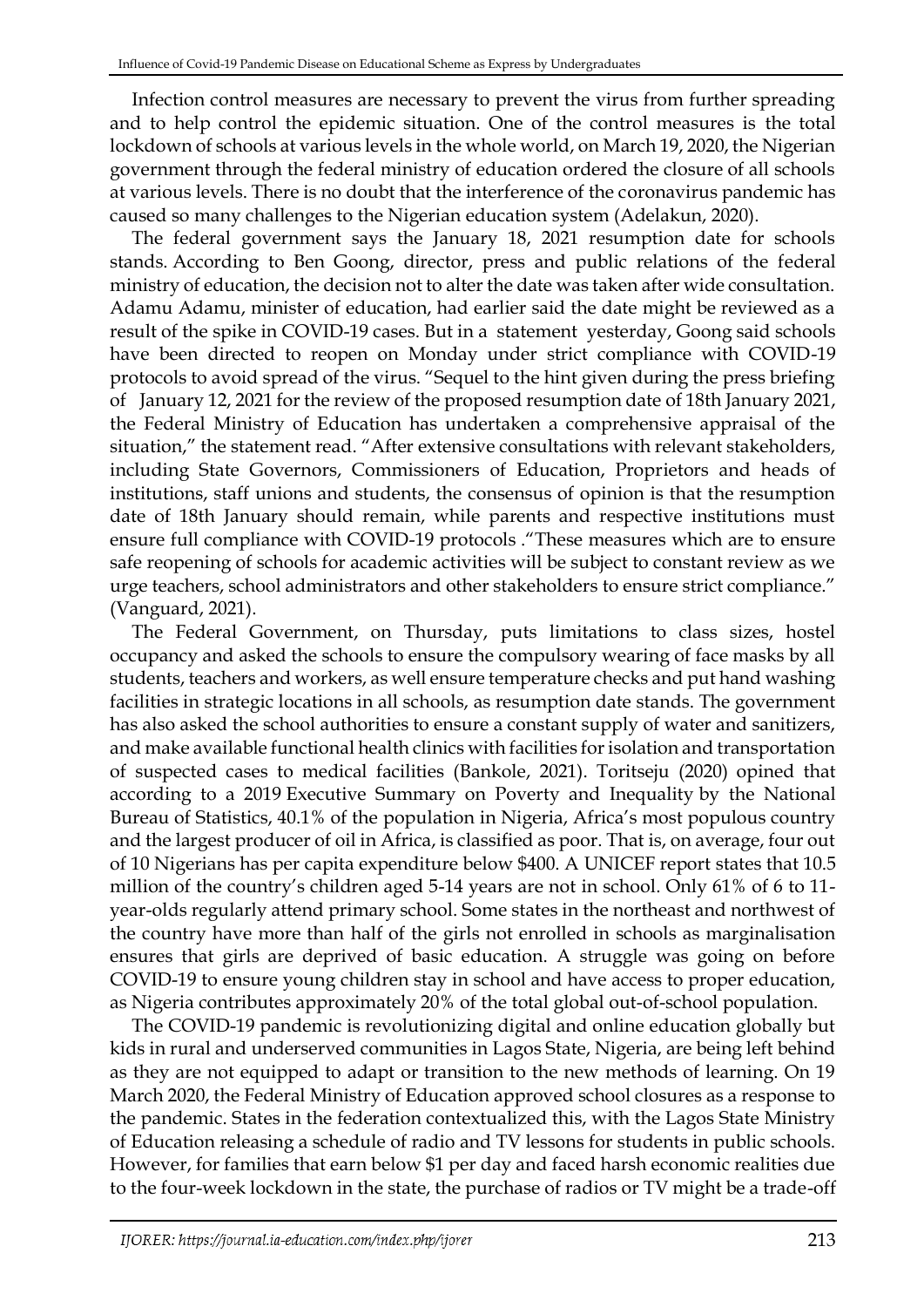Infection control measures are necessary to prevent the virus from further spreading and to help control the epidemic situation. One of the control measures is the total lockdown of schools at various levels in the whole world, on March 19, 2020, the Nigerian government through the federal ministry of education ordered the closure of all schools at various levels. There is no doubt that the interference of the coronavirus pandemic has caused so many challenges to the Nigerian education system (Adelakun, 2020).

The federal government says the January 18, 2021 resumption date for schools stands. According to Ben Goong, director, press and public relations of the federal ministry of education, the decision not to alter the date was taken after wide consultation. Adamu Adamu, minister of education, had earlier said the date might be reviewed as a result of the spike in COVID-19 cases. But in a statement yesterday, Goong said schools have been directed to reopen on Monday under strict compliance with COVID-19 protocols to avoid spread of the virus. "Sequel to the hint given during the press briefing of January 12, 2021 for the review of the proposed resumption date of 18th January 2021, the Federal Ministry of Education has undertaken a comprehensive appraisal of the situation," the statement read. "After extensive consultations with relevant stakeholders, including State Governors, Commissioners of Education, Proprietors and heads of institutions, staff unions and students, the consensus of opinion is that the resumption date of 18th January should remain, while parents and respective institutions must ensure full compliance with COVID-19 protocols ."These measures which are to ensure safe reopening of schools for academic activities will be subject to constant review as we urge teachers, school administrators and other stakeholders to ensure strict compliance." (Vanguard, 2021).

The Federal Government, on Thursday, puts limitations to class sizes, hostel occupancy and asked the schools to ensure the compulsory wearing of face masks by all students, teachers and workers, as well ensure temperature checks and put hand washing facilities in strategic locations in all schools, as resumption date stands. The government has also asked the school authorities to ensure a constant supply of water and sanitizers, and make available functional health clinics with facilities for isolation and transportation of suspected cases to medical facilities (Bankole, 2021). Toritseju (2020) opined that according to a 2019 [Executive Summary on Poverty and Inequality](http://nigerianstat.gov.ng/elibrary) by the National Bureau of Statistics, 40.1% of the population in Nigeria, Africa's most populous country and the largest producer of oil in Africa, is classified as poor. That is, on average, four out of 10 Nigerians has per capita expenditure below \$400. A [UNICEF report](https://www.unicef.org/nigeria/education) states that 10.5 million of the country's children aged 5-14 years are not in school. Only 61% of 6 to 11 year-olds regularly attend primary school. Some states in the northeast and northwest of the country have more than half of the girls not enrolled in schools as marginalisation ensures that girls are deprived of basic education. A struggle was going on before COVID-19 to ensure young children stay in school and have access to proper education, as [Nigeria contributes approximately 20%](https://www.globalpartnership.org/where-we-work/nigeria) of the total global out-of-school population.

The COVID-19 pandemic is revolutionizing digital and online education globally but kids in rural and underserved communities in Lagos State, Nigeria, are being left behind as they are not equipped to adapt or transition to the new methods of learning. On 19 March 2020, the Federal Ministry of Education approved school closures as a response to the pandemic. States in the federation contextualized this, with the Lagos State Ministry of Education releasing a schedule of radio and TV lessons for students in public schools. However, for families that earn below \$1 per day and faced harsh economic realities due to the four-week lockdown in the state, the purchase of radios or TV might be a trade-off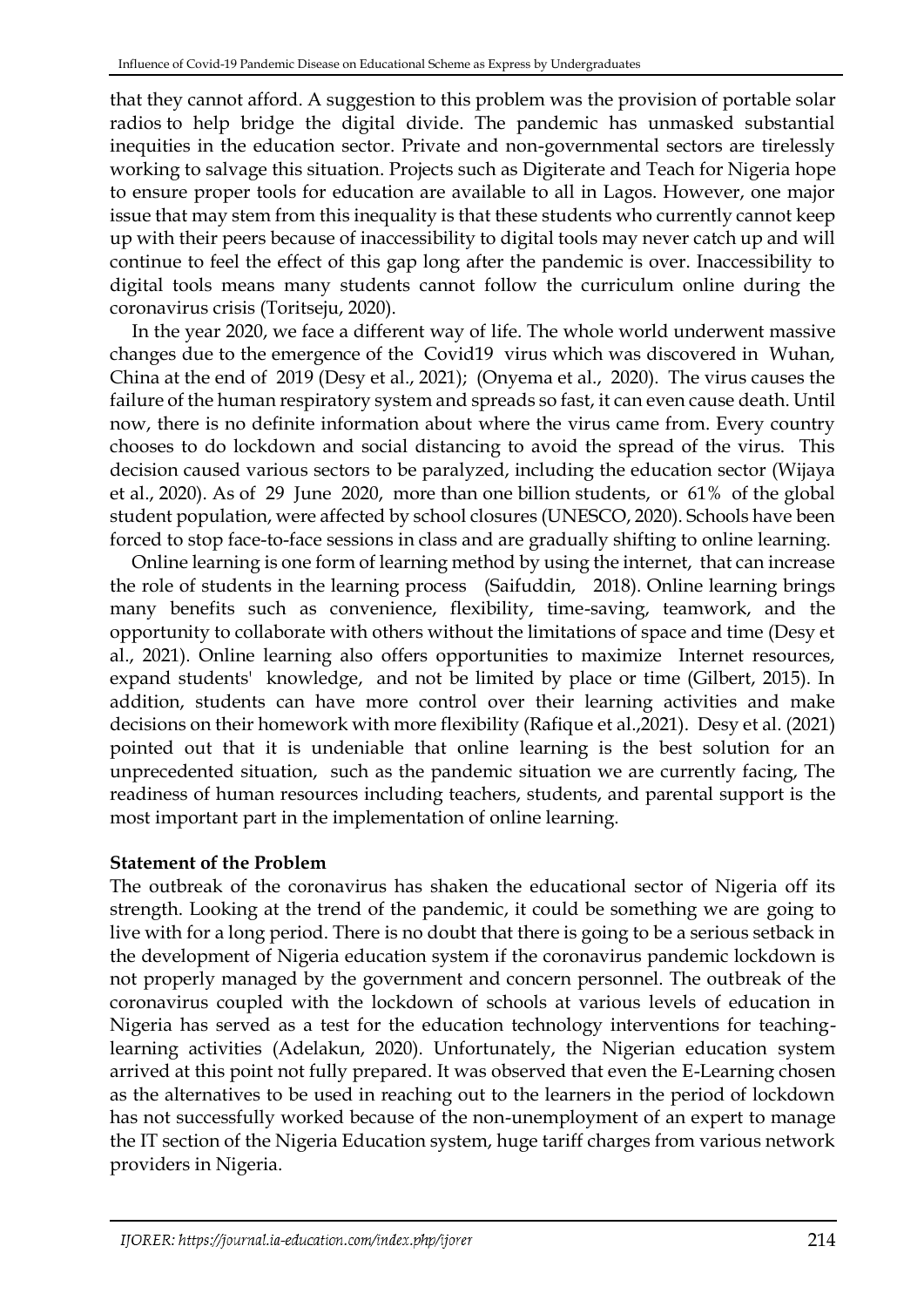that they cannot afford. A suggestion to this problem was [the provision of portable solar](https://nairametrics.com/2020/04/18/covid-19-is-exacerbating-the-problem-of-educational-inequity-in-nigeria/)  [radios](https://nairametrics.com/2020/04/18/covid-19-is-exacerbating-the-problem-of-educational-inequity-in-nigeria/) to help bridge the digital divide. The pandemic has unmasked substantial inequities in the education sector. Private and non-governmental sectors are tirelessly working to salvage this situation. Projects such as [Digiterate](https://toplink.weforum.org/initiatives/explore/a0s0X00000OMUNeQAP) and [Teach for Nigeria](https://teachfornigeria.org/#https://teachfornigeria.org/) hope to ensure proper tools for education are available to all in Lagos. However, one major issue that may stem from this inequality is that these students who currently cannot keep up with their peers because of inaccessibility to digital tools may never catch up and will continue to feel the effect of this gap long after the pandemic is over. Inaccessibility to digital tools means many students cannot follow the curriculum online during the coronavirus crisis (Toritseju, 2020).

In the year 2020, we face a different way of life. The whole world underwent massive changes due to the emergence of the Covid19 virus which was discovered in Wuhan, China at the end of 2019 (Desy et al., 2021); (Onyema et al., 2020). The virus causes the failure of the human respiratory system and spreads so fast, it can even cause death. Until now, there is no definite information about where the virus came from. Every country chooses to do lockdown and social distancing to avoid the spread of the virus. This decision caused various sectors to be paralyzed, including the education sector (Wijaya et al., 2020). As of 29 June 2020, more than one billion students, or 61% of the global student population, were affected by school closures (UNESCO, 2020). Schools have been forced to stop face-to-face sessions in class and are gradually shifting to online learning.

Online learning is one form of learning method by using the internet, that can increase the role of students in the learning process (Saifuddin, 2018). Online learning brings many benefits such as convenience, flexibility, time-saving, teamwork, and the opportunity to collaborate with others without the limitations of space and time (Desy et al., 2021). Online learning also offers opportunities to maximize Internet resources, expand students' knowledge, and not be limited by place or time (Gilbert, 2015). In addition, students can have more control over their learning activities and make decisions on their homework with more flexibility (Rafique et al.,2021). Desy et al. (2021) pointed out that it is undeniable that online learning is the best solution for an unprecedented situation, such as the pandemic situation we are currently facing, The readiness of human resources including teachers, students, and parental support is the most important part in the implementation of online learning.

# **Statement of the Problem**

The outbreak of the coronavirus has shaken the educational sector of Nigeria off its strength. Looking at the trend of the pandemic, it could be something we are going to live with for a long period. There is no doubt that there is going to be a serious setback in the development of Nigeria education system if the coronavirus pandemic lockdown is not properly managed by the government and concern personnel. The outbreak of the coronavirus coupled with the lockdown of schools at various levels of education in Nigeria has served as a test for the education technology interventions for teachinglearning activities (Adelakun, 2020). Unfortunately, the Nigerian education system arrived at this point not fully prepared. It was observed that even the E-Learning chosen as the alternatives to be used in reaching out to the learners in the period of lockdown has not successfully worked because of the non-unemployment of an expert to manage the IT section of the Nigeria Education system, huge tariff charges from various network providers in Nigeria.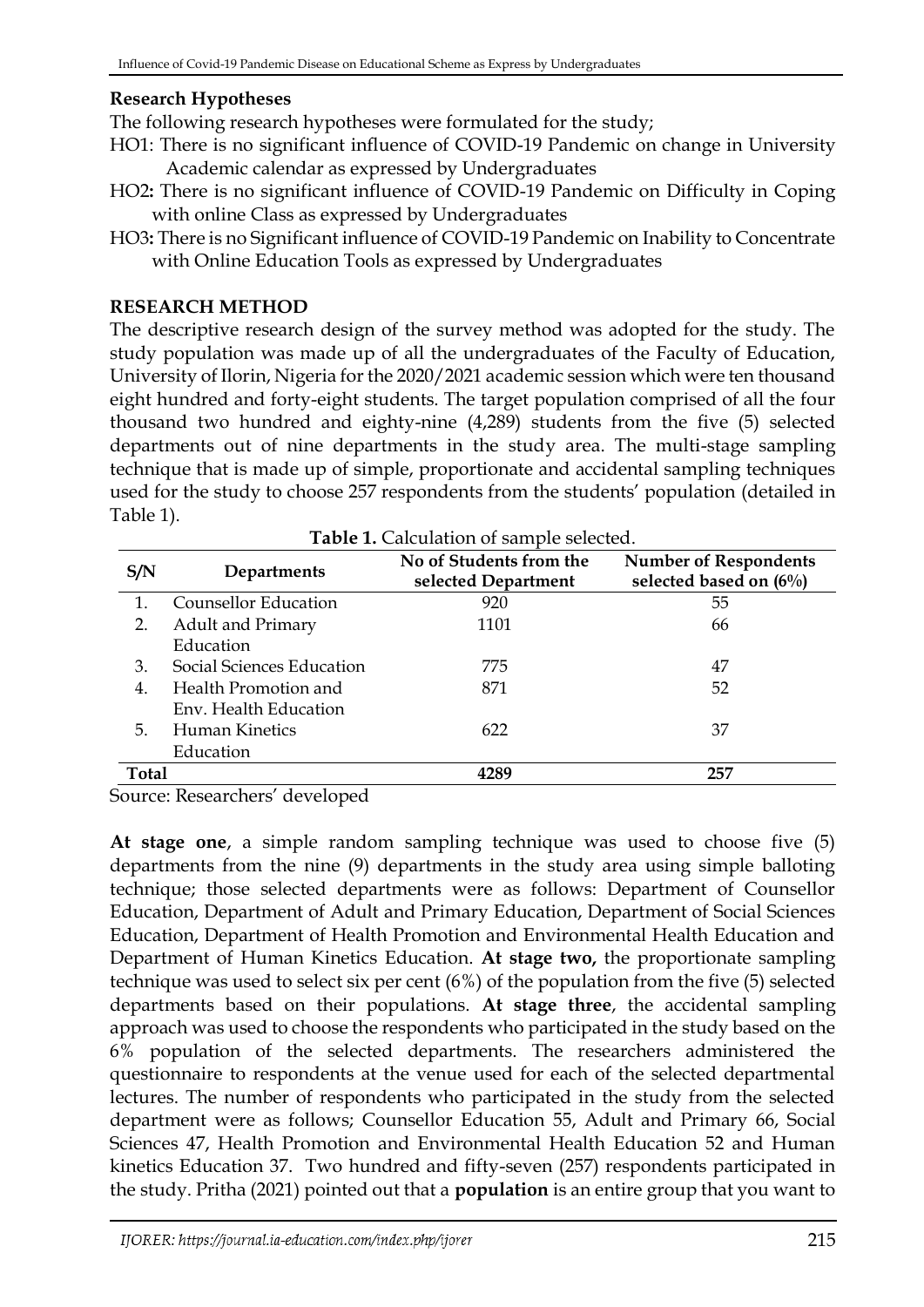# **Research Hypotheses**

The following research hypotheses were formulated for the study;

- HO1: There is no significant influence of COVID-19 Pandemic on change in University Academic calendar as expressed by Undergraduates
- HO2**:** There is no significant influence of COVID-19 Pandemic on Difficulty in Coping with online Class as expressed by Undergraduates
- HO3**:** There is no Significant influence of COVID-19 Pandemic on Inability to Concentrate with Online Education Tools as expressed by Undergraduates

## **RESEARCH METHOD**

The descriptive research design of the survey method was adopted for the study. The study population was made up of all the undergraduates of the Faculty of Education, University of Ilorin, Nigeria for the 2020/2021 academic session which were ten thousand eight hundred and forty-eight students. The target population comprised of all the four thousand two hundred and eighty-nine (4,289) students from the five (5) selected departments out of nine departments in the study area. The multi-stage sampling technique that is made up of simple, proportionate and accidental sampling techniques used for the study to choose 257 respondents from the students' population (detailed in Table 1).

| S/N          | Departments               | No of Students from the<br>selected Department | <b>Number of Respondents</b><br>selected based on $(6\%)$ |  |  |  |  |
|--------------|---------------------------|------------------------------------------------|-----------------------------------------------------------|--|--|--|--|
| 1.           | Counsellor Education      | 920                                            | 55                                                        |  |  |  |  |
| 2.           | <b>Adult and Primary</b>  | 1101                                           | 66                                                        |  |  |  |  |
|              | Education                 |                                                |                                                           |  |  |  |  |
| 3.           | Social Sciences Education | 775                                            | 47                                                        |  |  |  |  |
| 4.           | Health Promotion and      | 871                                            | 52                                                        |  |  |  |  |
|              | Env. Health Education     |                                                |                                                           |  |  |  |  |
| 5.           | Human Kinetics            | 622                                            | 37                                                        |  |  |  |  |
|              | Education                 |                                                |                                                           |  |  |  |  |
| <b>Total</b> |                           | 4289                                           | 257                                                       |  |  |  |  |

Source: Researchers' developed

**At stage one**, a simple random sampling technique was used to choose five (5) departments from the nine (9) departments in the study area using simple balloting technique; those selected departments were as follows: Department of Counsellor Education, Department of Adult and Primary Education, Department of Social Sciences Education, Department of Health Promotion and Environmental Health Education and Department of Human Kinetics Education. **At stage two,** the proportionate sampling technique was used to select six per cent (6%) of the population from the five (5) selected departments based on their populations. **At stage three**, the accidental sampling approach was used to choose the respondents who participated in the study based on the 6% population of the selected departments. The researchers administered the questionnaire to respondents at the venue used for each of the selected departmental lectures. The number of respondents who participated in the study from the selected department were as follows; Counsellor Education 55, Adult and Primary 66, Social Sciences 47, Health Promotion and Environmental Health Education 52 and Human kinetics Education 37. Two hundred and fifty-seven (257) respondents participated in the study. Pritha (2021) pointed out that a **population** is an entire group that you want to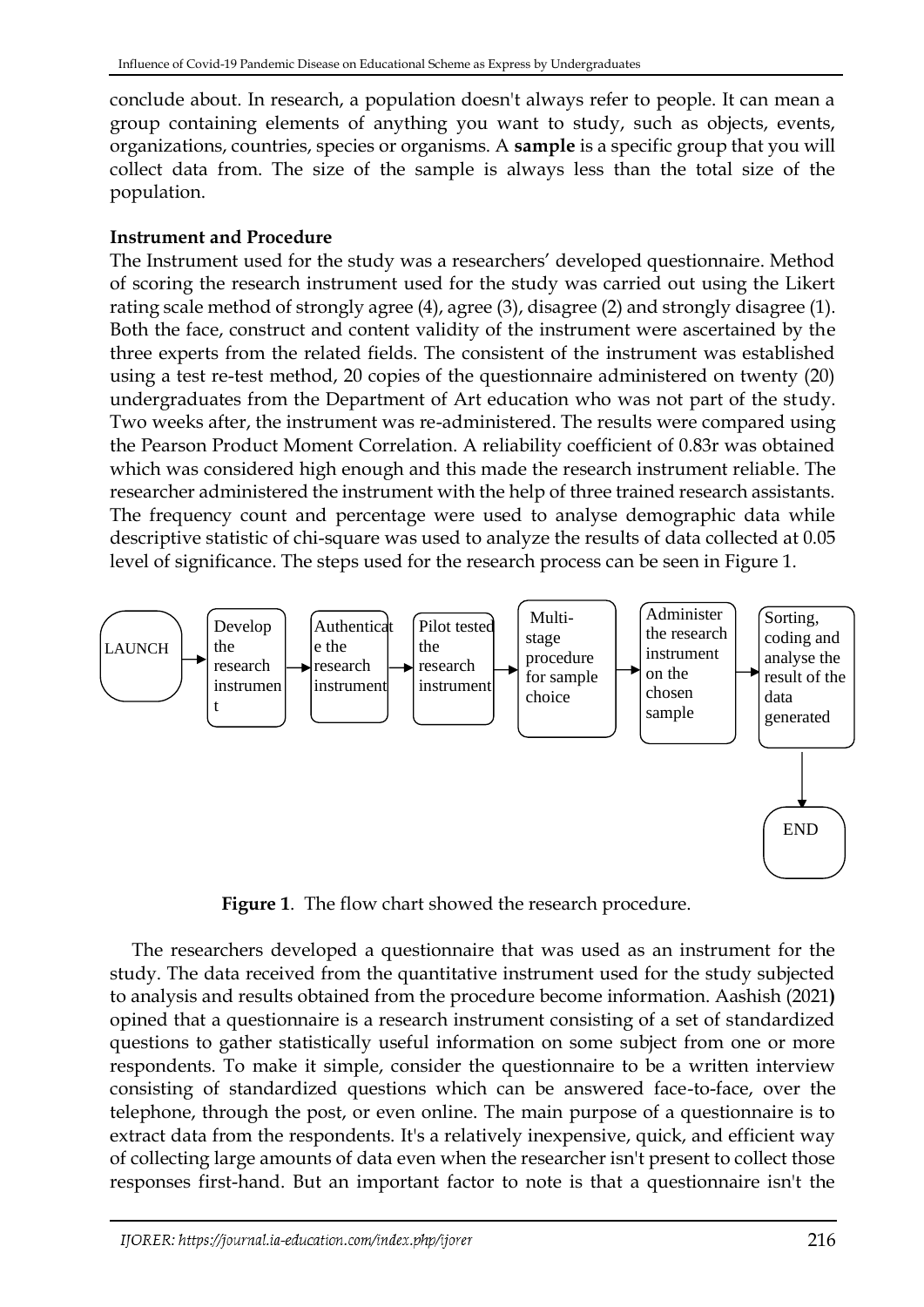conclude about. In research, a population doesn't always refer to people. It can mean a group containing elements of anything you want to study, such as objects, events, organizations, countries, species or organisms. A **sample** is a specific group that you will collect data from. The size of the sample is always less than the total size of the population.

# **Instrument and Procedure**

The Instrument used for the study was a researchers' developed questionnaire. Method of scoring the research instrument used for the study was carried out using the Likert rating scale method of strongly agree (4), agree (3), disagree (2) and strongly disagree (1). Both the face, construct and content validity of the instrument were ascertained by the three experts from the related fields. The consistent of the instrument was established using a test re-test method, 20 copies of the questionnaire administered on twenty (20) undergraduates from the Department of Art education who was not part of the study. Two weeks after, the instrument was re-administered. The results were compared using the Pearson Product Moment Correlation. A reliability coefficient of 0.83r was obtained which was considered high enough and this made the research instrument reliable. The researcher administered the instrument with the help of three trained research assistants. The frequency count and percentage were used to analyse demographic data while descriptive statistic of chi-square was used to analyze the results of data collected at 0.05 level of significance. The steps used for the research process can be seen in Figure 1.



**Figure 1**. The flow chart showed the research procedure.

The researchers developed a questionnaire that was used as an instrument for the study. The data received from the quantitative instrument used for the study subjected to analysis and results obtained from the procedure become information. Aashish (2021**)**  opined that a questionnaire is a research instrument consisting of a set of standardized questions to gather statistically useful information on some subject from one or more respondents. To make it simple, consider the questionnaire to be a written interview consisting of standardized questions which can be answered face-to-face, over the telephone, through the post, or even online. The main purpose of a questionnaire is to extract data from the respondents. It's a relatively inexpensive, quick, and efficient way of collecting large amounts of data even when the researcher isn't present to collect those responses first-hand. But an important factor to note is that a questionnaire isn't the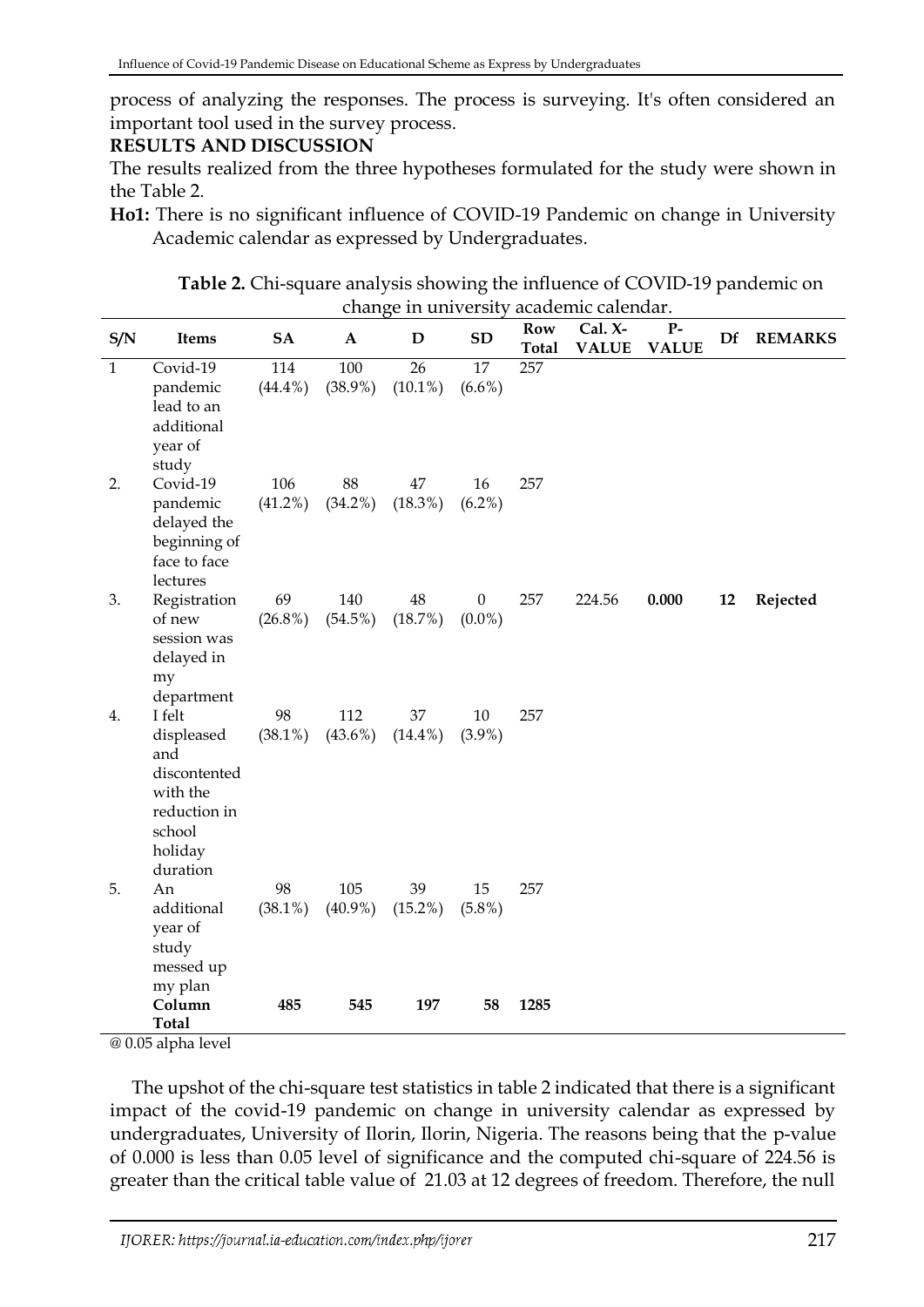process of analyzing the responses. The process is surveying. It's often considered an important tool used in the survey process.

### **RESULTS AND DISCUSSION**

The results realized from the three hypotheses formulated for the study were shown in the Table 2.

**Table 2.** Chi-square analysis showing the influence of COVID-19 pandemic on change in university academic calendar.

| S/N          | Items                                                                                                    | <b>SA</b>         | $\mathbf{A}$      | D                | <b>SD</b>                     | Row<br><b>Total</b> | Cal. X-<br><b>VALUE</b> | $P-$<br><b>VALUE</b> | Df | <b>REMARKS</b> |
|--------------|----------------------------------------------------------------------------------------------------------|-------------------|-------------------|------------------|-------------------------------|---------------------|-------------------------|----------------------|----|----------------|
| $\mathbf{1}$ | Covid-19<br>pandemic<br>lead to an<br>additional<br>year of<br>study                                     | 114<br>$(44.4\%)$ | 100<br>$(38.9\%)$ | 26<br>$(10.1\%)$ | 17<br>$(6.6\%)$               | 257                 |                         |                      |    |                |
| 2.           | Covid-19<br>pandemic<br>delayed the<br>beginning of<br>face to face<br>lectures                          | 106<br>$(41.2\%)$ | 88<br>$(34.2\%)$  | 47<br>$(18.3\%)$ | 16<br>$(6.2\%)$               | 257                 |                         |                      |    |                |
| 3.           | Registration<br>of new<br>session was<br>delayed in<br>my<br>department                                  | 69<br>$(26.8\%)$  | 140<br>$(54.5\%)$ | 48<br>(18.7%)    | $\boldsymbol{0}$<br>$(0.0\%)$ | 257                 | 224.56                  | 0.000                | 12 | Rejected       |
| 4.           | I felt<br>displeased<br>and<br>discontented<br>with the<br>reduction in<br>school<br>holiday<br>duration | 98<br>$(38.1\%)$  | 112<br>$(43.6\%)$ | 37<br>$(14.4\%)$ | 10<br>$(3.9\%)$               | 257                 |                         |                      |    |                |
| 5.           | An<br>additional<br>year of<br>study<br>messed up<br>my plan                                             | 98<br>$(38.1\%)$  | 105<br>$(40.9\%)$ | 39<br>$(15.2\%)$ | 15<br>$(5.8\%)$               | 257                 |                         |                      |    |                |
|              | Column<br><b>Total</b>                                                                                   | 485               | 545               | 197              | 58                            | 1285                |                         |                      |    |                |

@ 0.05 alpha level

The upshot of the chi-square test statistics in table 2 indicated that there is a significant impact of the covid-19 pandemic on change in university calendar as expressed by undergraduates, University of Ilorin, Ilorin, Nigeria. The reasons being that the p-value of 0.000 is less than 0.05 level of significance and the computed chi-square of 224.56 is greater than the critical table value of 21.03 at 12 degrees of freedom. Therefore, the null

**Ho1:** There is no significant influence of COVID-19 Pandemic on change in University Academic calendar as expressed by Undergraduates.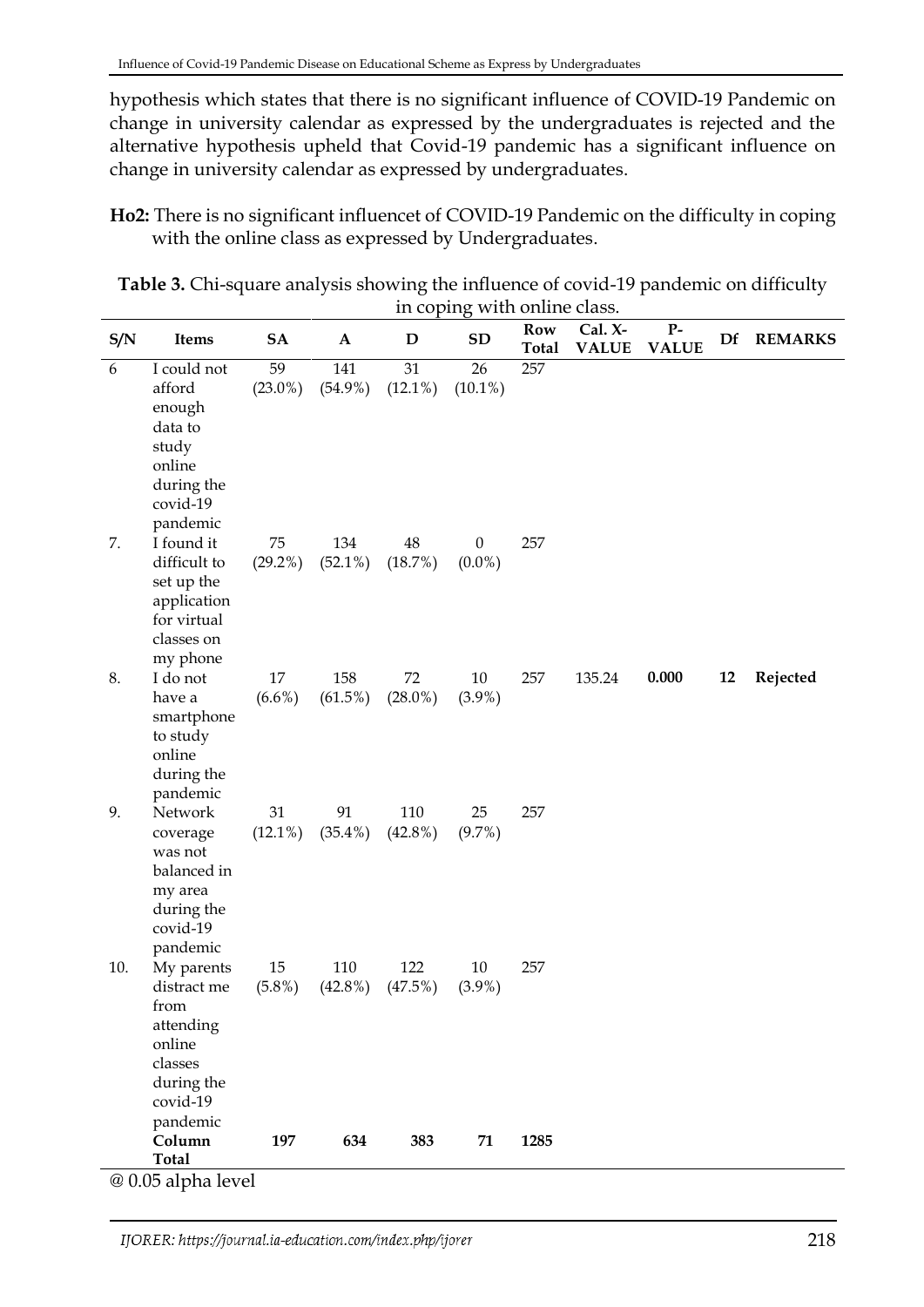hypothesis which states that there is no significant influence of COVID-19 Pandemic on change in university calendar as expressed by the undergraduates is rejected and the alternative hypothesis upheld that Covid-19 pandemic has a significant influence on change in university calendar as expressed by undergraduates.

**Ho2:** There is no significant influencet of COVID-19 Pandemic on the difficulty in coping with the online class as expressed by Undergraduates.

**Table 3.** Chi-square analysis showing the influence of covid-19 pandemic on difficulty in coping with online class.

| S/N | Items                                                                                                     | <b>SA</b>        | $\mathbf{A}$      | $\mathbf D$       | SD                            | $\operatorname*{Row}% \left( X\right) \subset\mathbb{R}^{2}\left( \mathbb{R}^{3}\right)$<br><b>Total</b> | Cal. X-<br><b>VALUE</b> | $P-$<br><b>VALUE</b> | Df | <b>REMARKS</b> |  |
|-----|-----------------------------------------------------------------------------------------------------------|------------------|-------------------|-------------------|-------------------------------|----------------------------------------------------------------------------------------------------------|-------------------------|----------------------|----|----------------|--|
| 6   | I could not<br>afford<br>enough<br>data to<br>study<br>online<br>during the<br>covid-19<br>pandemic       | 59<br>$(23.0\%)$ | 141<br>$(54.9\%)$ | 31<br>$(12.1\%)$  | 26<br>$(10.1\%)$              | 257                                                                                                      |                         |                      |    |                |  |
| 7.  | I found it<br>difficult to<br>set up the<br>application<br>for virtual<br>classes on<br>my phone          | 75<br>$(29.2\%)$ | 134<br>$(52.1\%)$ | 48<br>(18.7%)     | $\boldsymbol{0}$<br>$(0.0\%)$ | 257                                                                                                      |                         |                      |    |                |  |
| 8.  | I do not<br>have a<br>smartphone<br>to study<br>online<br>during the<br>pandemic                          | 17<br>$(6.6\%)$  | 158<br>$(61.5\%)$ | 72<br>$(28.0\%)$  | $10\,$<br>$(3.9\%)$           | 257                                                                                                      | 135.24                  | 0.000                | 12 | Rejected       |  |
| 9.  | Network<br>coverage<br>was not<br>balanced in<br>my area<br>during the<br>covid-19<br>pandemic            | 31<br>$(12.1\%)$ | 91<br>$(35.4\%)$  | 110<br>$(42.8\%)$ | 25<br>(9.7%)                  | 257                                                                                                      |                         |                      |    |                |  |
| 10. | My parents<br>distract me<br>from<br>attending<br>online<br>classes<br>during the<br>covid-19<br>pandemic | 15<br>$(5.8\%)$  | 110<br>$(42.8\%)$ | 122<br>(47.5%)    | $10\,$<br>$(3.9\%)$           | 257                                                                                                      |                         |                      |    |                |  |
|     | Column<br><b>Total</b>                                                                                    | 197              | 634               | 383               | 71                            | 1285                                                                                                     |                         |                      |    |                |  |
|     | $@005$ alpha $1$                                                                                          |                  |                   |                   |                               |                                                                                                          |                         |                      |    |                |  |

@ 0.05 alpha level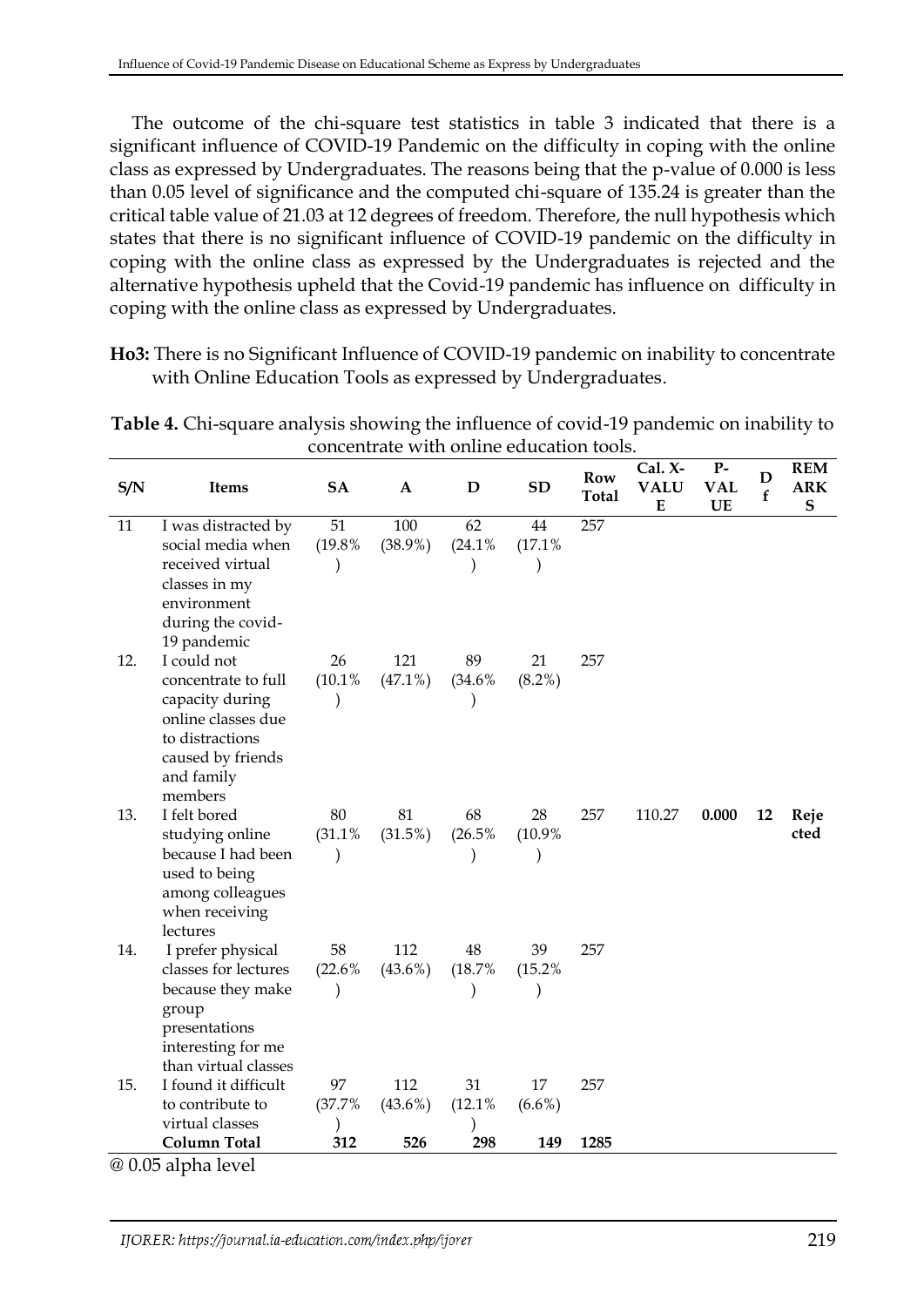The outcome of the chi-square test statistics in table 3 indicated that there is a significant influence of COVID-19 Pandemic on the difficulty in coping with the online class as expressed by Undergraduates. The reasons being that the p-value of 0.000 is less than 0.05 level of significance and the computed chi-square of 135.24 is greater than the critical table value of 21.03 at 12 degrees of freedom. Therefore, the null hypothesis which states that there is no significant influence of COVID-19 pandemic on the difficulty in coping with the online class as expressed by the Undergraduates is rejected and the alternative hypothesis upheld that the Covid-19 pandemic has influence on difficulty in coping with the online class as expressed by Undergraduates.

**Ho3:** There is no Significant Influence of COVID-19 pandemic on inability to concentrate with Online Education Tools as expressed by Undergraduates.

| S/N | Items                                                                                                                         | <b>SA</b> | $\mathbf{A}$ | D      | <b>SD</b> | <b>Row</b><br><b>Total</b> | Cal. X-<br><b>VALU</b><br>${\bf E}$ | $P-$<br><b>VAL</b><br>UE | D<br>$\mathbf f$ | <b>REM</b><br><b>ARK</b><br>${\bf S}$ |
|-----|-------------------------------------------------------------------------------------------------------------------------------|-----------|--------------|--------|-----------|----------------------------|-------------------------------------|--------------------------|------------------|---------------------------------------|
| 11  | I was distracted by                                                                                                           | 51        | 100          | 62     | 44        | 257                        |                                     |                          |                  |                                       |
|     | social media when                                                                                                             | (19.8%    | $(38.9\%)$   | (24.1% | (17.1%    |                            |                                     |                          |                  |                                       |
|     | received virtual<br>classes in my<br>environment<br>during the covid-<br>19 pandemic                                          |           |              |        |           |                            |                                     |                          |                  |                                       |
| 12. | I could not                                                                                                                   | 26        | 121          | 89     | 21        | 257                        |                                     |                          |                  |                                       |
|     | concentrate to full<br>capacity during<br>online classes due<br>to distractions<br>caused by friends<br>and family<br>members | (10.1%    | $(47.1\%)$   | (34.6% | $(8.2\%)$ |                            |                                     |                          |                  |                                       |
| 13. | I felt bored                                                                                                                  | 80        | 81           | 68     | 28        | 257                        | 110.27                              | 0.000                    | 12               | Reje                                  |
|     | studying online                                                                                                               | (31.1%    | (31.5%)      | (26.5% | (10.9%    |                            |                                     |                          |                  | cted                                  |
|     | because I had been<br>used to being<br>among colleagues<br>when receiving<br>lectures                                         |           |              |        |           |                            |                                     |                          |                  |                                       |
| 14. | I prefer physical                                                                                                             | 58        | 112          | 48     | 39        | 257                        |                                     |                          |                  |                                       |
|     | classes for lectures                                                                                                          | (22.6%    | $(43.6\%)$   | (18.7% | (15.2%    |                            |                                     |                          |                  |                                       |
|     | because they make<br>group<br>presentations<br>interesting for me                                                             |           |              |        |           |                            |                                     |                          |                  |                                       |
| 15. | than virtual classes<br>I found it difficult                                                                                  | 97        | 112          | 31     | 17        | 257                        |                                     |                          |                  |                                       |
|     | to contribute to                                                                                                              | (37.7%    | $(43.6\%)$   | (12.1% | $(6.6\%)$ |                            |                                     |                          |                  |                                       |
|     | virtual classes                                                                                                               |           |              |        |           |                            |                                     |                          |                  |                                       |
|     | <b>Column Total</b>                                                                                                           | 312       | 526          | 298    | 149       | 1285                       |                                     |                          |                  |                                       |

**Table 4.** Chi-square analysis showing the influence of covid-19 pandemic on inability to concentrate with online education tools.

@ 0.05 alpha level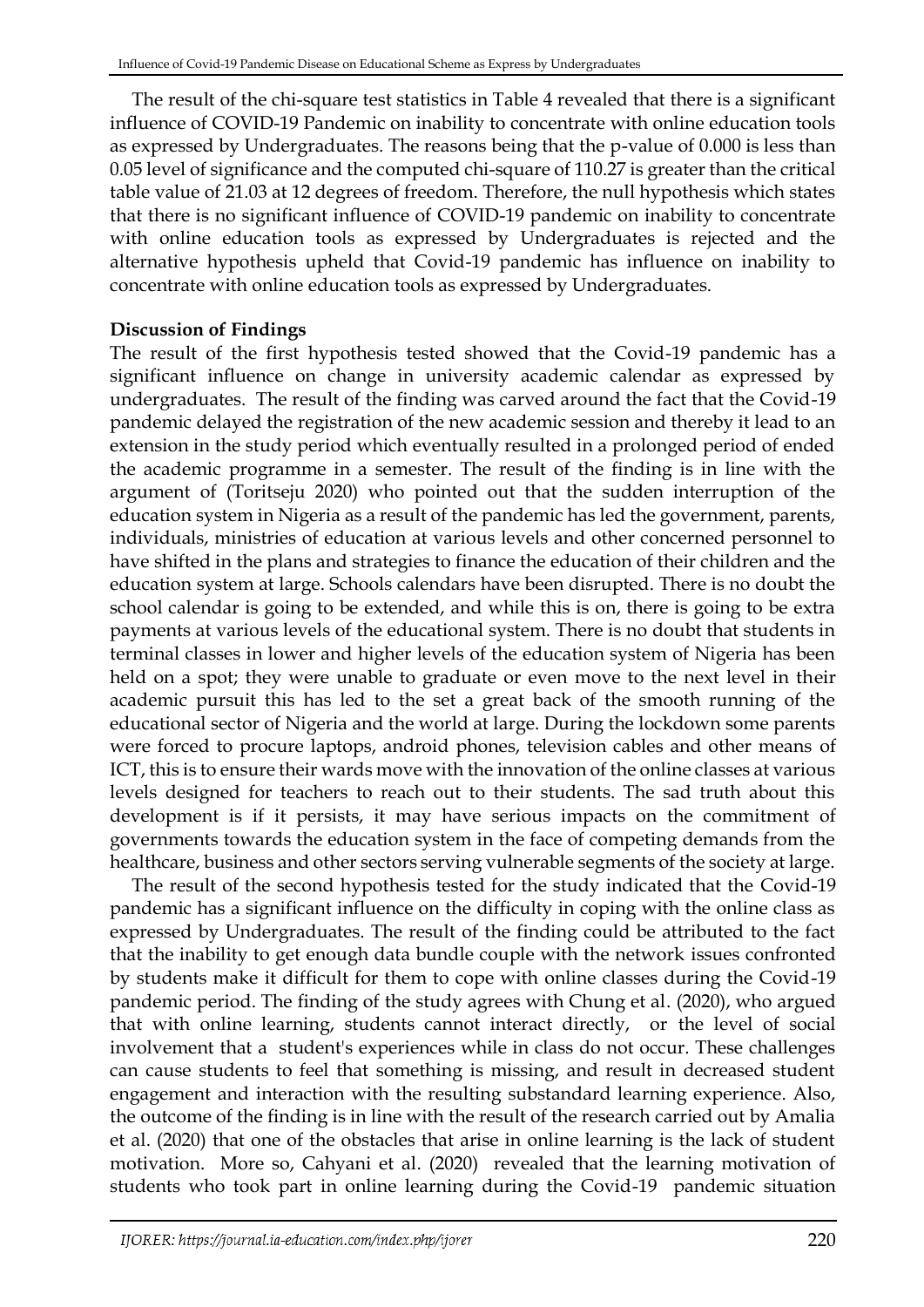The result of the chi-square test statistics in Table 4 revealed that there is a significant influence of COVID-19 Pandemic on inability to concentrate with online education tools as expressed by Undergraduates. The reasons being that the p-value of 0.000 is less than 0.05 level of significance and the computed chi-square of 110.27 is greater than the critical table value of 21.03 at 12 degrees of freedom. Therefore, the null hypothesis which states that there is no significant influence of COVID-19 pandemic on inability to concentrate with online education tools as expressed by Undergraduates is rejected and the alternative hypothesis upheld that Covid-19 pandemic has influence on inability to concentrate with online education tools as expressed by Undergraduates.

# **Discussion of Findings**

The result of the first hypothesis tested showed that the Covid-19 pandemic has a significant influence on change in university academic calendar as expressed by undergraduates. The result of the finding was carved around the fact that the Covid-19 pandemic delayed the registration of the new academic session and thereby it lead to an extension in the study period which eventually resulted in a prolonged period of ended the academic programme in a semester. The result of the finding is in line with the argument of (Toritseju 2020) who pointed out that the sudden interruption of the education system in Nigeria as a result of the pandemic has led the government, parents, individuals, ministries of education at various levels and other concerned personnel to have shifted in the plans and strategies to finance the education of their children and the education system at large. Schools calendars have been disrupted. There is no doubt the school calendar is going to be extended, and while this is on, there is going to be extra payments at various levels of the educational system. There is no doubt that students in terminal classes in lower and higher levels of the education system of Nigeria has been held on a spot; they were unable to graduate or even move to the next level in their academic pursuit this has led to the set a great back of the smooth running of the educational sector of Nigeria and the world at large. During the lockdown some parents were forced to procure laptops, android phones, television cables and other means of ICT, this is to ensure their wards move with the innovation of the online classes at various levels designed for teachers to reach out to their students. The sad truth about this development is if it persists, it may have serious impacts on the commitment of governments towards the education system in the face of competing demands from the healthcare, business and other sectors serving vulnerable segments of the society at large.

The result of the second hypothesis tested for the study indicated that the Covid-19 pandemic has a significant influence on the difficulty in coping with the online class as expressed by Undergraduates. The result of the finding could be attributed to the fact that the inability to get enough data bundle couple with the network issues confronted by students make it difficult for them to cope with online classes during the Covid-19 pandemic period. The finding of the study agrees with Chung et al. (2020), who argued that with online learning, students cannot interact directly, or the level of social involvement that a student's experiences while in class do not occur. These challenges can cause students to feel that something is missing, and result in decreased student engagement and interaction with the resulting substandard learning experience. Also, the outcome of the finding is in line with the result of the research carried out by Amalia et al. (2020) that one of the obstacles that arise in online learning is the lack of student motivation. More so, Cahyani et al. (2020) revealed that the learning motivation of students who took part in online learning during the Covid-19 pandemic situation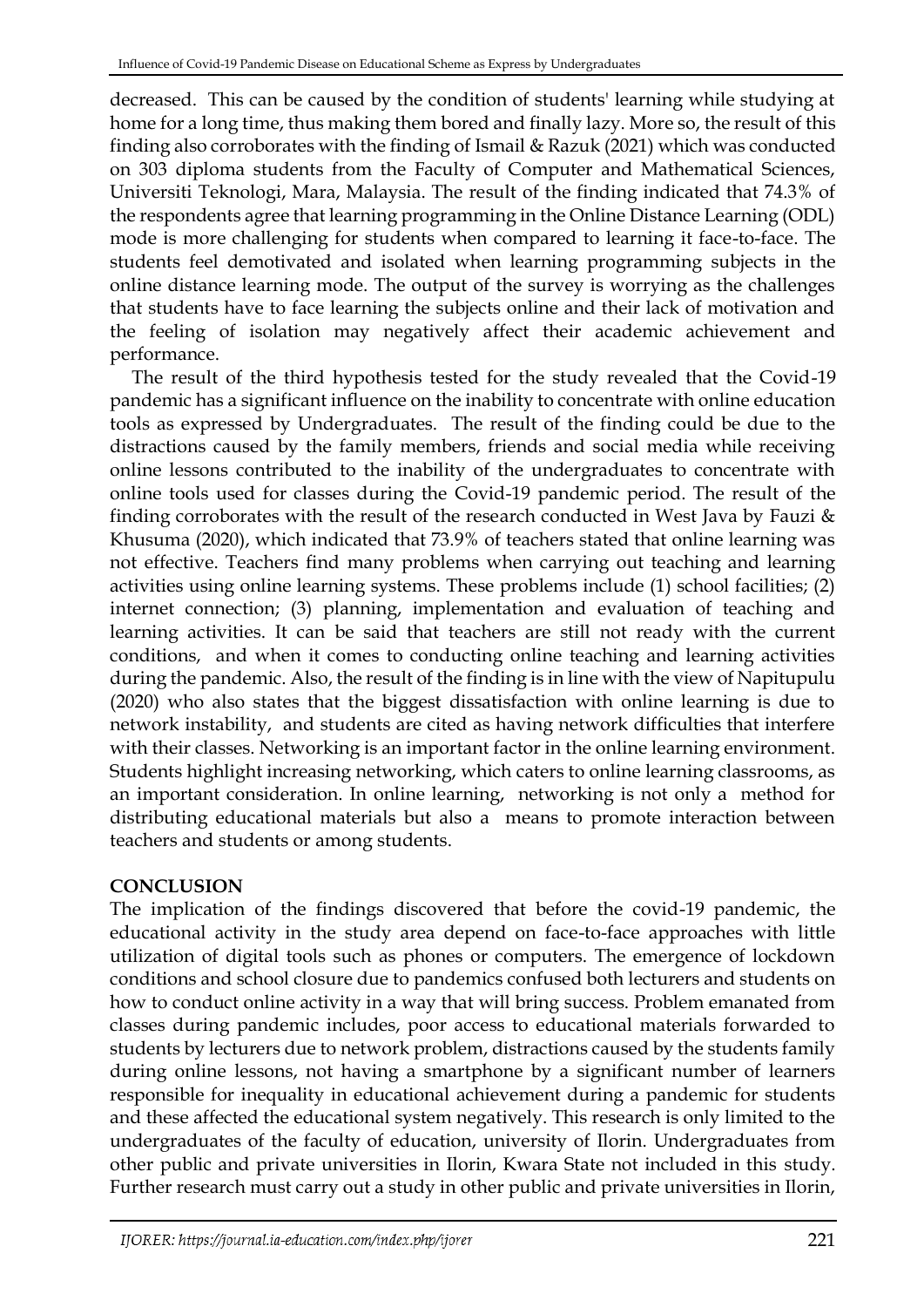decreased. This can be caused by the condition of students' learning while studying at home for a long time, thus making them bored and finally lazy. More so, the result of this finding also corroborates with the finding of Ismail & Razuk (2021) which was conducted on 303 diploma students from the Faculty of Computer and Mathematical Sciences, Universiti Teknologi, Mara, Malaysia. The result of the finding indicated that 74.3% of the respondents agree that learning programming in the Online Distance Learning (ODL) mode is more challenging for students when compared to learning it face-to-face. The students feel demotivated and isolated when learning programming subjects in the online distance learning mode. The output of the survey is worrying as the challenges that students have to face learning the subjects online and their lack of motivation and the feeling of isolation may negatively affect their academic achievement and performance.

The result of the third hypothesis tested for the study revealed that the Covid-19 pandemic has a significant influence on the inability to concentrate with online education tools as expressed by Undergraduates. The result of the finding could be due to the distractions caused by the family members, friends and social media while receiving online lessons contributed to the inability of the undergraduates to concentrate with online tools used for classes during the Covid-19 pandemic period. The result of the finding corroborates with the result of the research conducted in West Java by Fauzi  $\&$ Khusuma (2020), which indicated that 73.9% of teachers stated that online learning was not effective. Teachers find many problems when carrying out teaching and learning activities using online learning systems. These problems include (1) school facilities; (2) internet connection; (3) planning, implementation and evaluation of teaching and learning activities. It can be said that teachers are still not ready with the current conditions, and when it comes to conducting online teaching and learning activities during the pandemic. Also, the result of the finding is in line with the view of Napitupulu (2020) who also states that the biggest dissatisfaction with online learning is due to network instability, and students are cited as having network difficulties that interfere with their classes. Networking is an important factor in the online learning environment. Students highlight increasing networking, which caters to online learning classrooms, as an important consideration. In online learning, networking is not only a method for distributing educational materials but also a means to promote interaction between teachers and students or among students.

# **CONCLUSION**

The implication of the findings discovered that before the covid-19 pandemic, the educational activity in the study area depend on face-to-face approaches with little utilization of digital tools such as phones or computers. The emergence of lockdown conditions and school closure due to pandemics confused both lecturers and students on how to conduct online activity in a way that will bring success. Problem emanated from classes during pandemic includes, poor access to educational materials forwarded to students by lecturers due to network problem, distractions caused by the students family during online lessons, not having a smartphone by a significant number of learners responsible for inequality in educational achievement during a pandemic for students and these affected the educational system negatively. This research is only limited to the undergraduates of the faculty of education, university of Ilorin. Undergraduates from other public and private universities in Ilorin, Kwara State not included in this study. Further research must carry out a study in other public and private universities in Ilorin,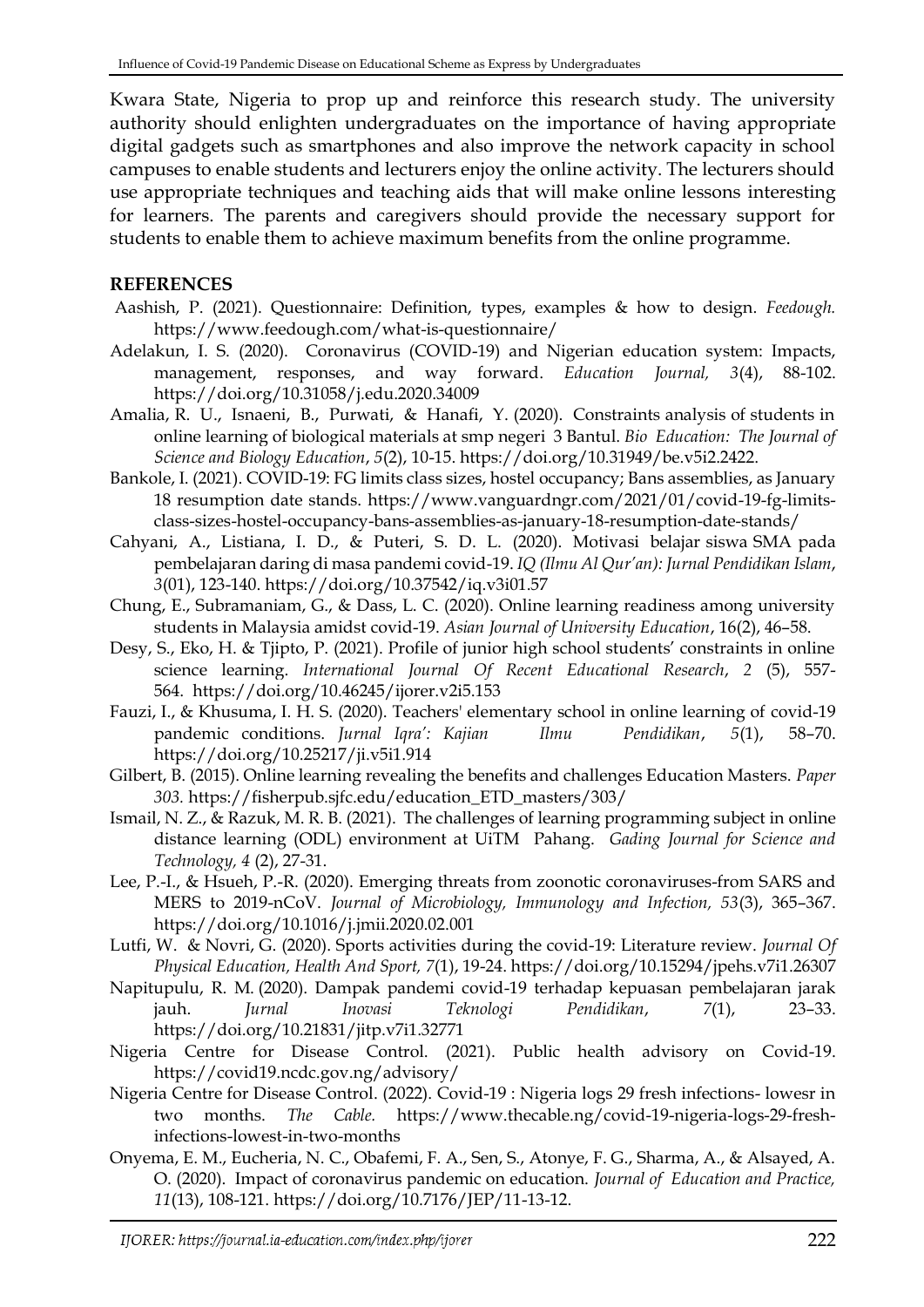Kwara State, Nigeria to prop up and reinforce this research study. The university authority should enlighten undergraduates on the importance of having appropriate digital gadgets such as smartphones and also improve the network capacity in school campuses to enable students and lecturers enjoy the online activity. The lecturers should use appropriate techniques and teaching aids that will make online lessons interesting for learners. The parents and caregivers should provide the necessary support for students to enable them to achieve maximum benefits from the online programme.

### **REFERENCES**

- Aashish, P. (2021). Questionnaire: Definition, types, examples & how to design. *Feedough.* <https://www.feedough.com/what-is-questionnaire/>
- Adelakun, I. S. (2020). Coronavirus (COVID-19) and Nigerian education system: Impacts, management, responses, and way forward. *Education Journal, 3*(4), 88-102. <https://doi.org/10.31058/j.edu.2020.34009>
- Amalia, R. U., Isnaeni, B., Purwati, & Hanafi, Y. (2020). Constraints analysis of students in online learning of biological materials at smp negeri 3 Bantul. *Bio Education: The Journal of Science and Biology Education*, *5*(2), 10-15. [https://doi.org/10.31949/be.v5i2.2422.](https://doi.org/10.31949/be.v5i2.2422)
- Bankole, I. (2021). COVID-19: FG limits class sizes, hostel occupancy; Bans assemblies, as January 18 resumption date stands. [https://www.vanguardngr.com/2021/01/covid-19-fg-limits](https://www.vanguardngr.com/2021/01/covid-19-fg-limits-class-sizes-hostel-occupancy-bans-assemblies-as-january-18-resumption-date-stands/)[class-sizes-hostel-occupancy-bans-assemblies-as-january-18-resumption-date-stands/](https://www.vanguardngr.com/2021/01/covid-19-fg-limits-class-sizes-hostel-occupancy-bans-assemblies-as-january-18-resumption-date-stands/)
- Cahyani, A., Listiana, I. D., & Puteri, S. D. L. (2020). Motivasi belajar siswa SMA pada pembelajaran daring di masa pandemi covid-19. *IQ (Ilmu Al Qur'an): Jurnal Pendidikan Islam*, *3*(01), 123-140[. https://doi.org/10.37542/iq.v3i01.57](https://doi.org/10.37542/iq.v3i01.57)
- Chung, E., Subramaniam, G., & Dass, L. C. (2020). Online learning readiness among university students in Malaysia amidst covid-19. *Asian Journal of University Education*, 16(2), 46–58.
- Desy, S., Eko, H. & Tjipto, P. (2021). Profile of junior high school students' constraints in online science learning. *International Journal Of Recent Educational Research*, *2* (5), 557- 564. <https://doi.org/10.46245/ijorer.v2i5.153>
- Fauzi, I., & Khusuma, I. H. S. (2020). Teachers' elementary school in online learning of covid-19 pandemic conditions. *Jurnal Iqra': Kajian Ilmu Pendidikan*, *5*(1), 58–70. <https://doi.org/10.25217/ji.v5i1.914>
- Gilbert, B. (2015). Online learning revealing the benefits and challenges Education Masters. *Paper 303.* [https://fisherpub.sjfc.edu/education\\_ETD\\_masters/303/](https://fisherpub.sjfc.edu/education_ETD_masters/303/)
- Ismail, N. Z., & Razuk, M. R. B. (2021). The challenges of learning programming subject in online distance learning (ODL) environment at UiTM Pahang. *Gading Journal for Science and Technology, 4* (2), 27-31.
- Lee, P.-I., & Hsueh, P.-R. (2020). Emerging threats from zoonotic coronaviruses-from SARS and MERS to 2019-nCoV. *Journal of Microbiology, Immunology and Infection, 53*(3), 365–367. https://doi.org/10.1016/j.jmii.2020.02.001
- Lutfi, W. & Novri, G. (2020). Sports activities during the covid-19: Literature review. *Journal Of Physical Education, Health And Sport, 7*(1), 19-24. <https://doi.org/10.15294/jpehs.v7i1.26307>
- Napitupulu, R. M. (2020). Dampak pandemi covid-19 terhadap kepuasan pembelajaran jarak jauh. *Jurnal Inovasi Teknologi Pendidikan*, *7*(1), 23–33. <https://doi.org/10.21831/jitp.v7i1.32771>
- Nigeria Centre for Disease Control. (2021). Public health advisory on Covid-19. <https://covid19.ncdc.gov.ng/advisory/>
- Nigeria Centre for Disease Control. (2022). Covid-19 : Nigeria logs 29 fresh infections- lowesr in two months. *The Cable.* [https://www.thecable.ng/covid-19-nigeria-logs-29-fresh](https://www.thecable.ng/covid-19-nigeria-logs-29-fresh-infections-lowest-in-two-months)[infections-lowest-in-two-months](https://www.thecable.ng/covid-19-nigeria-logs-29-fresh-infections-lowest-in-two-months)
- Onyema, E. M., Eucheria, N. C., Obafemi, F. A., Sen, S., Atonye, F. G., Sharma, A., & Alsayed, A. O. (2020). Impact of coronavirus pandemic on education. *Journal of Education and Practice, 11*(13), 108-121. [https://doi.org/10.7176/JEP/11-13-12.](https://doi.org/10.7176/JEP/11-13-12)